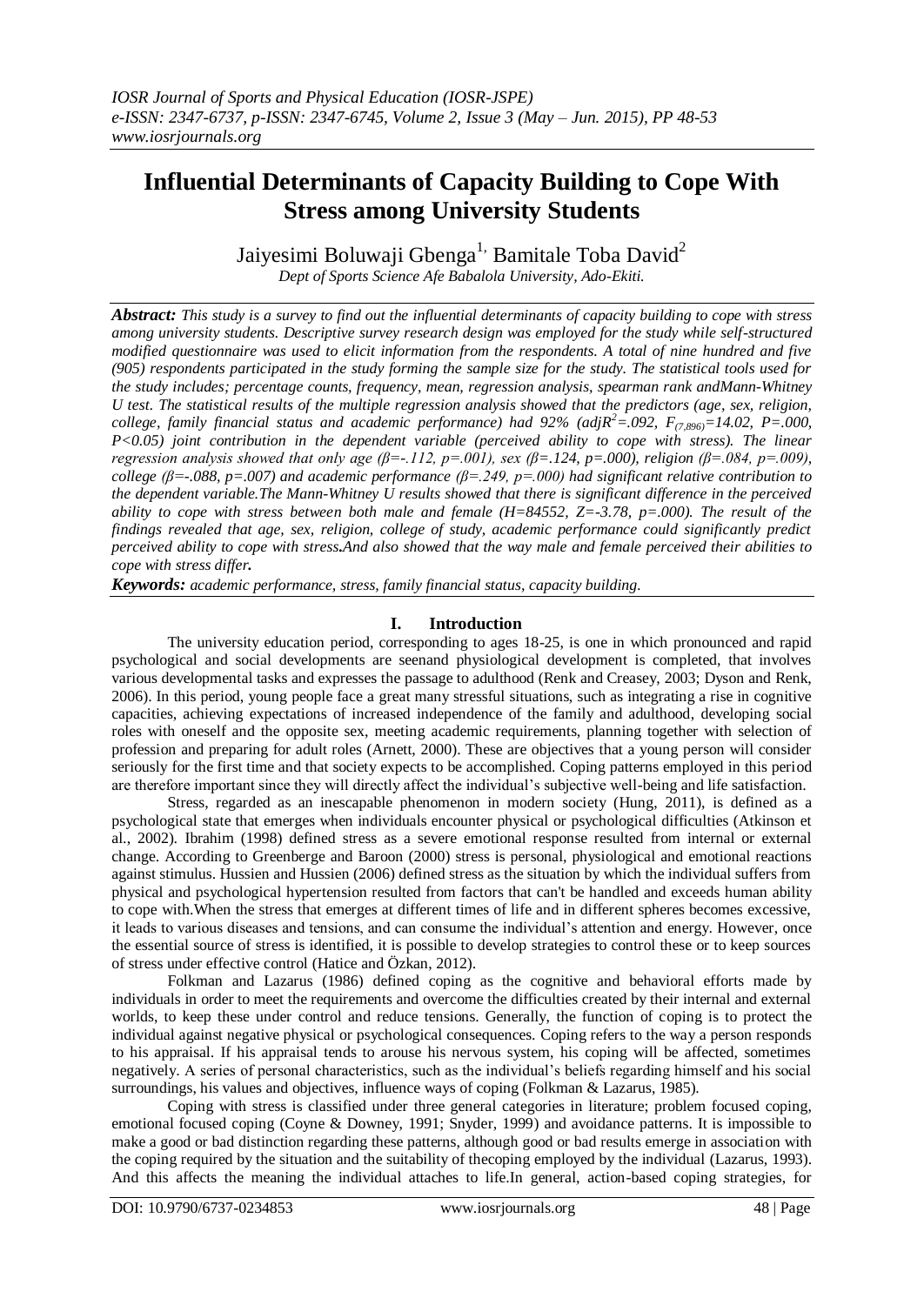# **Influential Determinants of Capacity Building to Cope With Stress among University Students**

Jaivesimi Boluwaji Gbenga<sup>1,</sup> Bamitale Toba David<sup>2</sup> *Dept of Sports Science Afe Babalola University, Ado-Ekiti.*

*Abstract: This study is a survey to find out the influential determinants of capacity building to cope with stress among university students. Descriptive survey research design was employed for the study while self-structured modified questionnaire was used to elicit information from the respondents. A total of nine hundred and five (905) respondents participated in the study forming the sample size for the study. The statistical tools used for the study includes; percentage counts, frequency, mean, regression analysis, spearman rank andMann-Whitney U test. The statistical results of the multiple regression analysis showed that the predictors (age, sex, religion, college, family financial status and academic performance) had*  $92\%$  *(adj* $R^2 = .092$ *,*  $F_{(7,896)} = 14.02$ *, P=.000, P<0.05) joint contribution in the dependent variable (perceived ability to cope with stress). The linear regression analysis showed that only age (β=-.112, p=.001), sex (β=.124, p=.000), religion (β=.084, p=.009), college (β=-.088, p=.007) and academic performance (β=.249, p=.000) had significant relative contribution to the dependent variable.The Mann-Whitney U results showed that there is significant difference in the perceived ability to cope with stress between both male and female (H=84552, Z=-3.78, p=.000). The result of the findings revealed that age, sex, religion, college of study, academic performance could significantly predict perceived ability to cope with stress.And also showed that the way male and female perceived their abilities to cope with stress differ.*

*Keywords: academic performance, stress, family financial status, capacity building.*

#### **I. Introduction**

The university education period, corresponding to ages 18-25, is one in which pronounced and rapid psychological and social developments are seenand physiological development is completed, that involves various developmental tasks and expresses the passage to adulthood (Renk and Creasey, 2003; Dyson and Renk, 2006). In this period, young people face a great many stressful situations, such as integrating a rise in cognitive capacities, achieving expectations of increased independence of the family and adulthood, developing social roles with oneself and the opposite sex, meeting academic requirements, planning together with selection of profession and preparing for adult roles (Arnett, 2000). These are objectives that a young person will consider seriously for the first time and that society expects to be accomplished. Coping patterns employed in this period are therefore important since they will directly affect the individual's subjective well-being and life satisfaction.

Stress, regarded as an inescapable phenomenon in modern society (Hung, 2011), is defined as a psychological state that emerges when individuals encounter physical or psychological difficulties (Atkinson et al., 2002). Ibrahim (1998) defined stress as a severe emotional response resulted from internal or external change. According to Greenberge and Baroon (2000) stress is personal, physiological and emotional reactions against stimulus. Hussien and Hussien (2006) defined stress as the situation by which the individual suffers from physical and psychological hypertension resulted from factors that can't be handled and exceeds human ability to cope with.When the stress that emerges at different times of life and in different spheres becomes excessive, it leads to various diseases and tensions, and can consume the individual's attention and energy. However, once the essential source of stress is identified, it is possible to develop strategies to control these or to keep sources of stress under effective control (Hatice and Özkan, 2012).

Folkman and Lazarus (1986) defined coping as the cognitive and behavioral efforts made by individuals in order to meet the requirements and overcome the difficulties created by their internal and external worlds, to keep these under control and reduce tensions. Generally, the function of coping is to protect the individual against negative physical or psychological consequences. Coping refers to the way a person responds to his appraisal. If his appraisal tends to arouse his nervous system, his coping will be affected, sometimes negatively. A series of personal characteristics, such as the individual's beliefs regarding himself and his social surroundings, his values and objectives, influence ways of coping (Folkman & Lazarus, 1985).

Coping with stress is classified under three general categories in literature; problem focused coping, emotional focused coping (Coyne & Downey, 1991; Snyder, 1999) and avoidance patterns. It is impossible to make a good or bad distinction regarding these patterns, although good or bad results emerge in association with the coping required by the situation and the suitability of thecoping employed by the individual (Lazarus, 1993). And this affects the meaning the individual attaches to life.In general, action-based coping strategies, for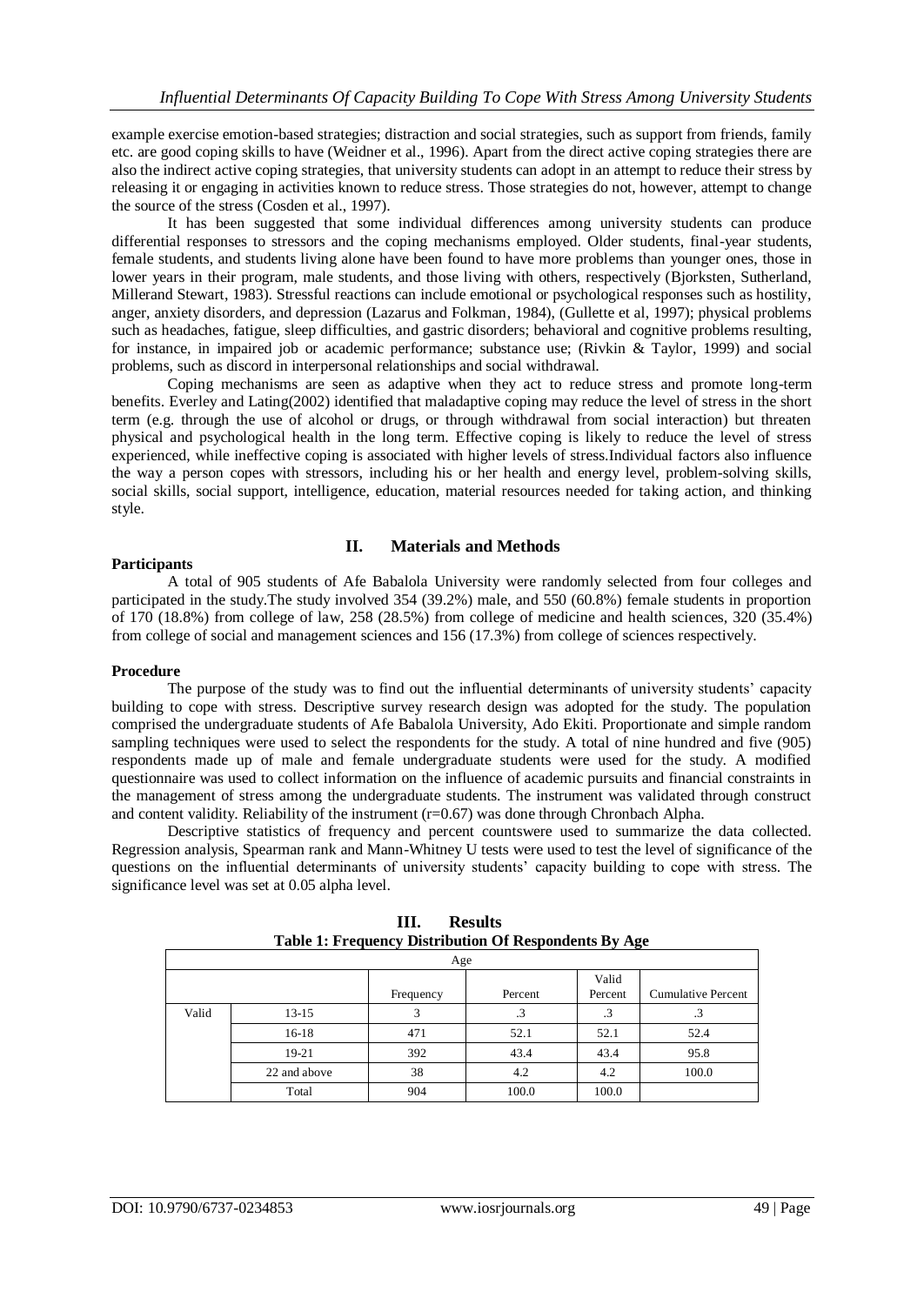example exercise emotion-based strategies; distraction and social strategies, such as support from friends, family etc. are good coping skills to have (Weidner et al., 1996). Apart from the direct active coping strategies there are also the indirect active coping strategies, that university students can adopt in an attempt to reduce their stress by releasing it or engaging in activities known to reduce stress. Those strategies do not, however, attempt to change the source of the stress (Cosden et al., 1997).

It has been suggested that some individual differences among university students can produce differential responses to stressors and the coping mechanisms employed. Older students, final-year students, female students, and students living alone have been found to have more problems than younger ones, those in lower years in their program, male students, and those living with others, respectively (Bjorksten, Sutherland, Millerand Stewart, 1983). Stressful reactions can include emotional or psychological responses such as hostility, anger, anxiety disorders, and depression (Lazarus and Folkman, 1984), (Gullette et al, 1997); physical problems such as headaches, fatigue, sleep difficulties, and gastric disorders; behavioral and cognitive problems resulting, for instance, in impaired job or academic performance; substance use; (Rivkin & Taylor, 1999) and social problems, such as discord in interpersonal relationships and social withdrawal.

Coping mechanisms are seen as adaptive when they act to reduce stress and promote long-term benefits. Everley and Lating(2002) identified that maladaptive coping may reduce the level of stress in the short term (e.g. through the use of alcohol or drugs, or through withdrawal from social interaction) but threaten physical and psychological health in the long term. Effective coping is likely to reduce the level of stress experienced, while ineffective coping is associated with higher levels of stress.Individual factors also influence the way a person copes with stressors, including his or her health and energy level, problem-solving skills, social skills, social support, intelligence, education, material resources needed for taking action, and thinking style.

#### **II. Materials and Methods**

#### **Participants**

A total of 905 students of Afe Babalola University were randomly selected from four colleges and participated in the study.The study involved 354 (39.2%) male, and 550 (60.8%) female students in proportion of 170 (18.8%) from college of law, 258 (28.5%) from college of medicine and health sciences, 320 (35.4%) from college of social and management sciences and 156 (17.3%) from college of sciences respectively.

#### **Procedure**

The purpose of the study was to find out the influential determinants of university students' capacity building to cope with stress. Descriptive survey research design was adopted for the study. The population comprised the undergraduate students of Afe Babalola University, Ado Ekiti. Proportionate and simple random sampling techniques were used to select the respondents for the study. A total of nine hundred and five (905) respondents made up of male and female undergraduate students were used for the study. A modified questionnaire was used to collect information on the influence of academic pursuits and financial constraints in the management of stress among the undergraduate students. The instrument was validated through construct and content validity. Reliability of the instrument  $(r=0.67)$  was done through Chronbach Alpha.

Descriptive statistics of frequency and percent countswere used to summarize the data collected. Regression analysis, Spearman rank and Mann-Whitney U tests were used to test the level of significance of the questions on the influential determinants of university students' capacity building to cope with stress. The significance level was set at 0.05 alpha level.

| Age   |              |           |         |                  |                           |  |  |  |
|-------|--------------|-----------|---------|------------------|---------------------------|--|--|--|
|       |              | Frequency | Percent | Valid<br>Percent | <b>Cumulative Percent</b> |  |  |  |
| Valid | $13-15$      |           | .3      | .3               | د.                        |  |  |  |
|       | $16-18$      | 471       | 52.1    | 52.1             | 52.4                      |  |  |  |
|       | 19-21        | 392       | 43.4    | 43.4             | 95.8                      |  |  |  |
|       | 22 and above | 38        | 4.2     | 4.2              | 100.0                     |  |  |  |
|       | Total        | 904       | 100.0   | 100.0            |                           |  |  |  |

**III. Results Table 1: Frequency Distribution Of Respondents By Age**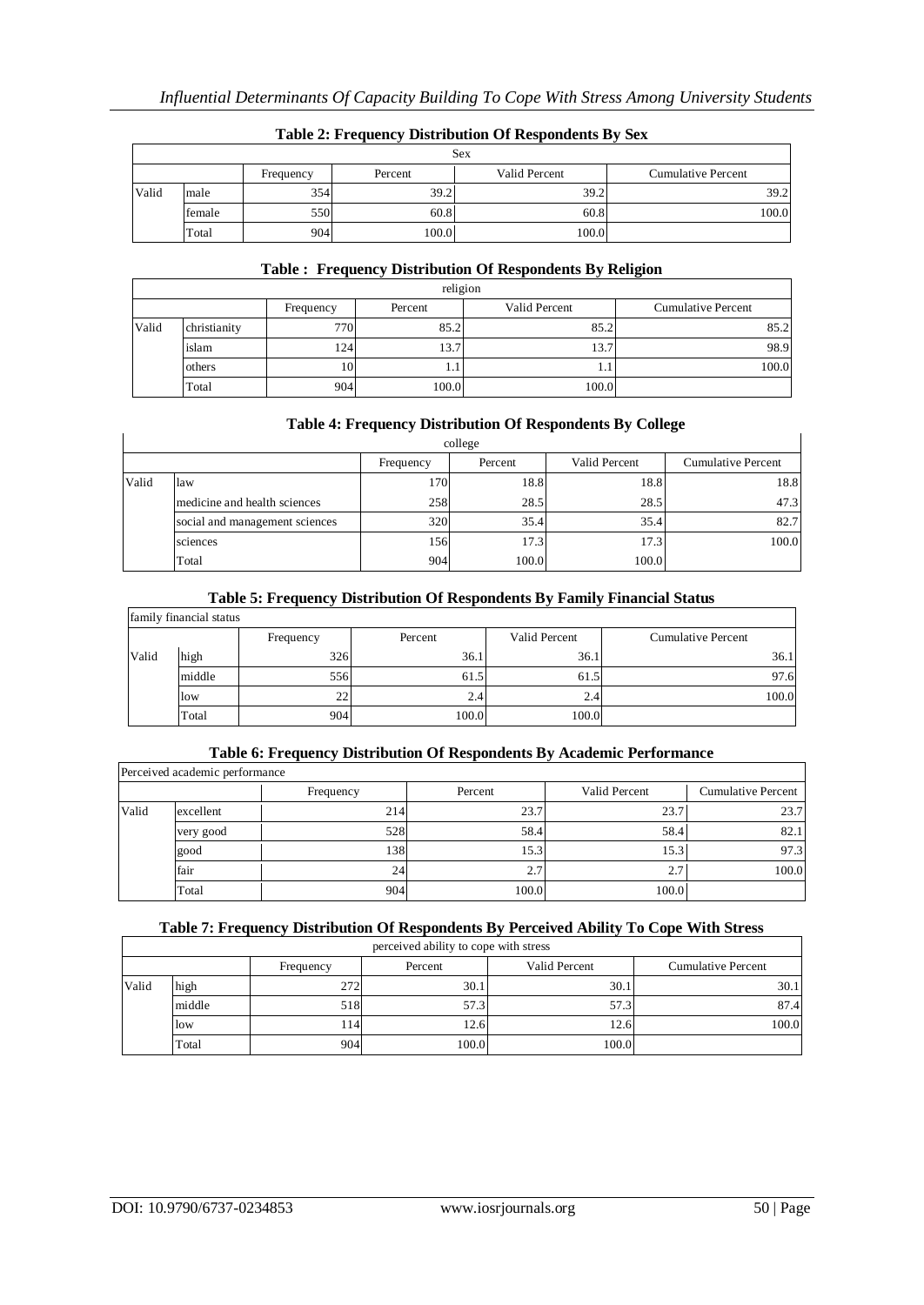|       | Sex    |           |               |                           |       |  |  |  |  |  |
|-------|--------|-----------|---------------|---------------------------|-------|--|--|--|--|--|
|       |        | Frequency | Valid Percent | <b>Cumulative Percent</b> |       |  |  |  |  |  |
| Valid | male   | 354       | 39.2          | 39.2                      | 39.2  |  |  |  |  |  |
|       | female | 550       | 60.8          | 60.8                      | 100.0 |  |  |  |  |  |
|       | Total  | 9041      | 100.0         | 100.0                     |       |  |  |  |  |  |

### **Table 2: Frequency Distribution Of Respondents By Sex**

## **Table : Frequency Distribution Of Respondents By Religion**

|       | religion     |           |         |               |                           |  |  |  |  |
|-------|--------------|-----------|---------|---------------|---------------------------|--|--|--|--|
|       |              | Frequency | Percent | Valid Percent | <b>Cumulative Percent</b> |  |  |  |  |
| Valid | christianity | 770       | 85.2    | 85.2          | 85.2                      |  |  |  |  |
|       | islam        | 1241      | 13.7    | 13.7          | 98.9                      |  |  |  |  |
|       | others       | 10        | 1.1     | 1.1           | 100.0                     |  |  |  |  |
|       | Total        | 904       | 100.0   | 100.0         |                           |  |  |  |  |

#### **Table 4: Frequency Distribution Of Respondents By College**

|       | college                        |           |         |               |                           |  |  |  |  |  |  |
|-------|--------------------------------|-----------|---------|---------------|---------------------------|--|--|--|--|--|--|
|       |                                | Frequency | Percent | Valid Percent | <b>Cumulative Percent</b> |  |  |  |  |  |  |
| Valid | law                            | 170       | 18.8    | 18.8          | 18.8                      |  |  |  |  |  |  |
|       | medicine and health sciences   | 258       | 28.5    | 28.5          | 47.3                      |  |  |  |  |  |  |
|       | social and management sciences | 320       | 35.4    | 35.4          | 82.7                      |  |  |  |  |  |  |
|       | sciences                       | 156       | 17.3    | 17.3          | 100.0                     |  |  |  |  |  |  |
|       | Total                          | 904       | 100.0   | 100.0         |                           |  |  |  |  |  |  |

#### **Table 5: Frequency Distribution Of Respondents By Family Financial Status**

|       | family financial status |           |         |               |                           |  |  |  |
|-------|-------------------------|-----------|---------|---------------|---------------------------|--|--|--|
|       |                         | Frequency | Percent | Valid Percent | <b>Cumulative Percent</b> |  |  |  |
| Valid | high                    | 326       | 36.1    | 36.1          | 36.1                      |  |  |  |
|       | middle                  | 556       | 61.5    | 61.5          | 97.6                      |  |  |  |
|       | low                     | 22        | 2.4     | 2.4           | 100.0                     |  |  |  |
|       | Total                   | 904       | 100.0   | 100.0         |                           |  |  |  |

#### **Table 6: Frequency Distribution Of Respondents By Academic Performance**

|       | Perceived academic performance |           |         |               |                           |
|-------|--------------------------------|-----------|---------|---------------|---------------------------|
|       |                                | Frequency | Percent | Valid Percent | <b>Cumulative Percent</b> |
| Valid | excellent                      | 214       | 23.7    | 23.7          | 23.7                      |
|       | very good                      | 528       | 58.4    | 58.4          | 82.1                      |
|       | good                           | 138       | 15.3    | 15.3          | 97.3                      |
|       | fair                           | 24        | 2.7     | 2.7           | 100.0                     |
|       | Total                          | 904       | 100.0   | 100.0         |                           |

#### **Table 7: Frequency Distribution Of Respondents By Perceived Ability To Cope With Stress**

| perceived ability to cope with stress |        |           |         |               |                           |  |  |  |
|---------------------------------------|--------|-----------|---------|---------------|---------------------------|--|--|--|
|                                       |        | Frequency | Percent | Valid Percent | <b>Cumulative Percent</b> |  |  |  |
| Valid                                 | high   | 272       | 30.1    | 30.1          | 30.1                      |  |  |  |
|                                       | middle | 518       | 57.3    | 57.3          | 87.4                      |  |  |  |
|                                       | low    | 14        | 12.6    | 12.6          | 100.0                     |  |  |  |
|                                       | Total  | 904       | 100.0   | 100.0         |                           |  |  |  |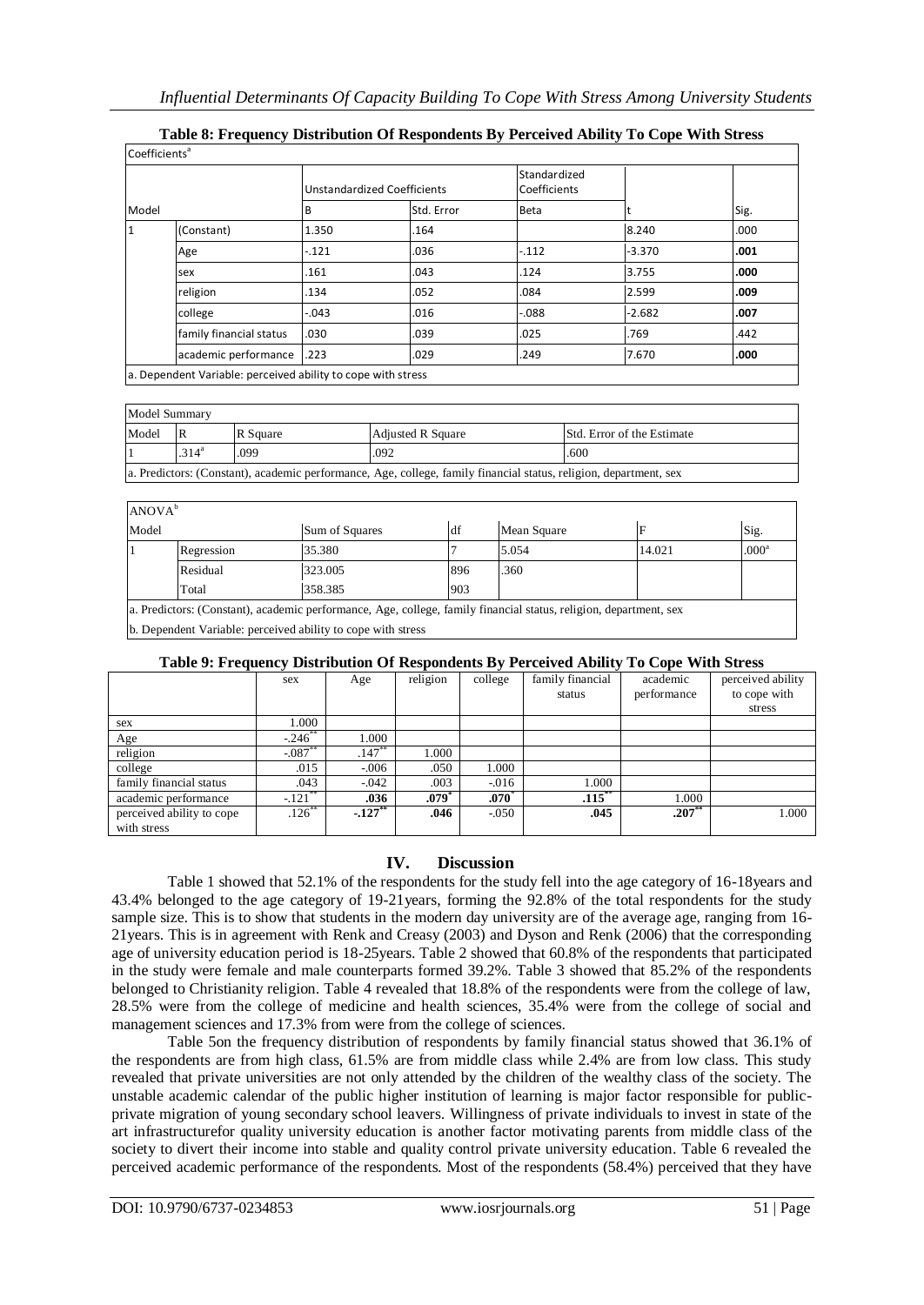|       |                         |         | <b>Unstandardized Coefficients</b> | Standardized<br>Coefficients |          |      |
|-------|-------------------------|---------|------------------------------------|------------------------------|----------|------|
| Model |                         | B       | Std. Error                         | Beta                         |          | Sig. |
|       | (Constant)              | 1.350   | .164                               |                              | 8.240    | .000 |
|       | Age                     | $-.121$ | .036                               | $-112$                       | $-3.370$ | .001 |
|       | sex                     | .161    | .043                               | .124                         | 3.755    | .000 |
|       | religion                | .134    | .052                               | .084                         | 2.599    | .009 |
|       | college                 | $-.043$ | .016                               | $-0.088$                     | $-2.682$ | .007 |
|       | family financial status | .030    | .039                               | .025                         | .769     | .442 |
|       | academic performance    | .223    | .029                               | .249                         | 7.670    | .000 |

## **Table 8: Frequency Distribution Of Respondents By Perceived Ability To Cope With Stress**

Model Summary Model R R Square Adjusted R Square Std. Error of the Estimate  $.314^{a}$ .099 .092 .600 a. Predictors: (Constant), academic performance, Age, college, family financial status, religion, department, sex

 $ANOVA<sup>b</sup>$ Model Sum of Squares df Mean Square F Sig. 1 Regression 35.380 7 5.054 14.021 .000<sup>a</sup> Residual 323.005 896 .360 Total 358.385 903 a. Predictors: (Constant), academic performance, Age, college, family financial status, religion, department, sex

b. Dependent Variable: perceived ability to cope with stress

#### **Table 9: Frequency Distribution Of Respondents By Perceived Ability To Cope With Stress**

| $10000$ ), $11000000$ $1000000$ $100000$ $100000$ $10000$ $100000$ |            |                       |          |                  |                  | $100000$ $(11010000)$ |                   |
|--------------------------------------------------------------------|------------|-----------------------|----------|------------------|------------------|-----------------------|-------------------|
|                                                                    | sex        | Age                   | religion | college          | family financial | academic              | perceived ability |
|                                                                    |            |                       |          |                  | status           | performance           | to cope with      |
|                                                                    |            |                       |          |                  |                  |                       | stress            |
| sex                                                                | 1.000      |                       |          |                  |                  |                       |                   |
| Age                                                                | $-246$ **  | 1.000                 |          |                  |                  |                       |                   |
| religion                                                           | $-0.087$   | $.147**$              | 1.000    |                  |                  |                       |                   |
| college                                                            | .015       | $-0.006$              | .050     | 1.000            |                  |                       |                   |
| family financial status                                            | .043       | $-0.042$              | .003     | $-0.016$         | 1.000            |                       |                   |
| academic performance                                               | $-.121$ ** | .036                  | $.079*$  | $.070^{\degree}$ | $.115$ **        | 1.000                 |                   |
| perceived ability to cope                                          | $.126$ **  | $-.127$ <sup>**</sup> | .046     | $-.050$          | .045             | $.207**$              | 1.000             |
| with stress                                                        |            |                       |          |                  |                  |                       |                   |

## **IV. Discussion**

Table 1 showed that 52.1% of the respondents for the study fell into the age category of 16-18years and 43.4% belonged to the age category of 19-21years, forming the 92.8% of the total respondents for the study sample size. This is to show that students in the modern day university are of the average age, ranging from 16- 21years. This is in agreement with Renk and Creasy (2003) and Dyson and Renk (2006) that the corresponding age of university education period is 18-25years. Table 2 showed that 60.8% of the respondents that participated in the study were female and male counterparts formed 39.2%. Table 3 showed that 85.2% of the respondents belonged to Christianity religion. Table 4 revealed that 18.8% of the respondents were from the college of law, 28.5% were from the college of medicine and health sciences, 35.4% were from the college of social and management sciences and 17.3% from were from the college of sciences.

Table 5on the frequency distribution of respondents by family financial status showed that 36.1% of the respondents are from high class, 61.5% are from middle class while 2.4% are from low class. This study revealed that private universities are not only attended by the children of the wealthy class of the society. The unstable academic calendar of the public higher institution of learning is major factor responsible for publicprivate migration of young secondary school leavers. Willingness of private individuals to invest in state of the art infrastructurefor quality university education is another factor motivating parents from middle class of the society to divert their income into stable and quality control private university education. Table 6 revealed the perceived academic performance of the respondents. Most of the respondents (58.4%) perceived that they have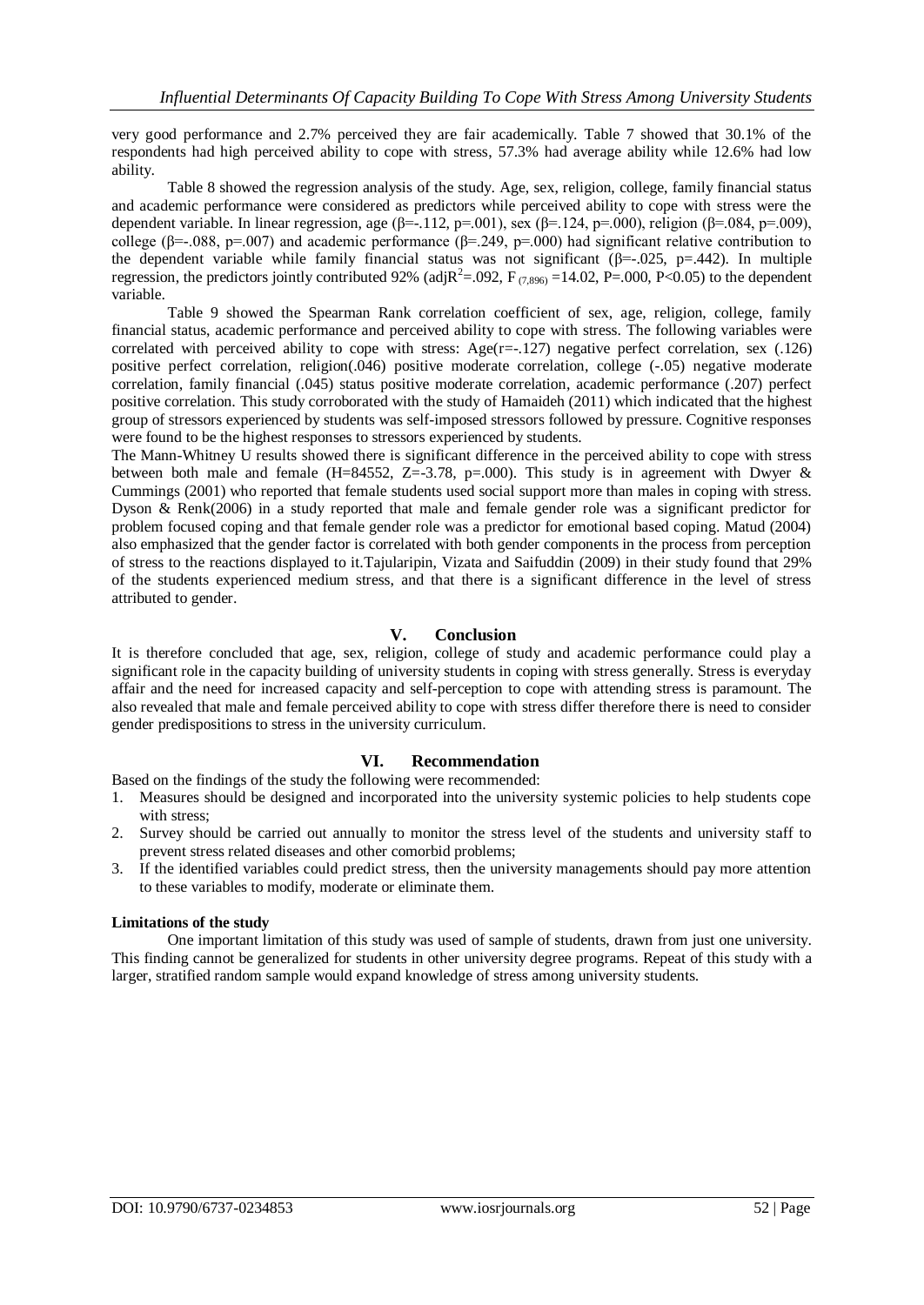very good performance and 2.7% perceived they are fair academically. Table 7 showed that 30.1% of the respondents had high perceived ability to cope with stress, 57.3% had average ability while 12.6% had low ability.

Table 8 showed the regression analysis of the study. Age, sex, religion, college, family financial status and academic performance were considered as predictors while perceived ability to cope with stress were the dependent variable. In linear regression, age ( $\beta$ =-.112, p=.001), sex ( $\beta$ =.124, p=.000), religion ( $\beta$ =.084, p=.009), college (β=-.088, p=.007) and academic performance (β=.249, p=.000) had significant relative contribution to the dependent variable while family financial status was not significant  $(\beta = .025, p = .442)$ . In multiple regression, the predictors jointly contributed 92% (adj $R^2 = .092$ ,  $F_{(7,896)} = 14.02$ ,  $P = .000$ ,  $P < 0.05$ ) to the dependent variable.

Table 9 showed the Spearman Rank correlation coefficient of sex, age, religion, college, family financial status, academic performance and perceived ability to cope with stress. The following variables were correlated with perceived ability to cope with stress:  $Age(r=.127)$  negative perfect correlation, sex (.126) positive perfect correlation, religion(.046) positive moderate correlation, college (-.05) negative moderate correlation, family financial (.045) status positive moderate correlation, academic performance (.207) perfect positive correlation. This study corroborated with the study of Hamaideh (2011) which indicated that the highest group of stressors experienced by students was self-imposed stressors followed by pressure. Cognitive responses were found to be the highest responses to stressors experienced by students.

The Mann-Whitney U results showed there is significant difference in the perceived ability to cope with stress between both male and female (H=84552, Z=-3.78, p=.000). This study is in agreement with Dwyer & Cummings (2001) who reported that female students used social support more than males in coping with stress. Dyson & Renk(2006) in a study reported that male and female gender role was a significant predictor for problem focused coping and that female gender role was a predictor for emotional based coping. Matud (2004) also emphasized that the gender factor is correlated with both gender components in the process from perception of stress to the reactions displayed to it.Tajularipin, Vizata and Saifuddin (2009) in their study found that 29% of the students experienced medium stress, and that there is a significant difference in the level of stress attributed to gender.

### **V. Conclusion**

It is therefore concluded that age, sex, religion, college of study and academic performance could play a significant role in the capacity building of university students in coping with stress generally. Stress is everyday affair and the need for increased capacity and self-perception to cope with attending stress is paramount. The also revealed that male and female perceived ability to cope with stress differ therefore there is need to consider gender predispositions to stress in the university curriculum.

## **VI. Recommendation**

Based on the findings of the study the following were recommended:

- 1. Measures should be designed and incorporated into the university systemic policies to help students cope with stress;
- 2. Survey should be carried out annually to monitor the stress level of the students and university staff to prevent stress related diseases and other comorbid problems;
- 3. If the identified variables could predict stress, then the university managements should pay more attention to these variables to modify, moderate or eliminate them.

#### **Limitations of the study**

One important limitation of this study was used of sample of students, drawn from just one university. This finding cannot be generalized for students in other university degree programs. Repeat of this study with a larger, stratified random sample would expand knowledge of stress among university students.